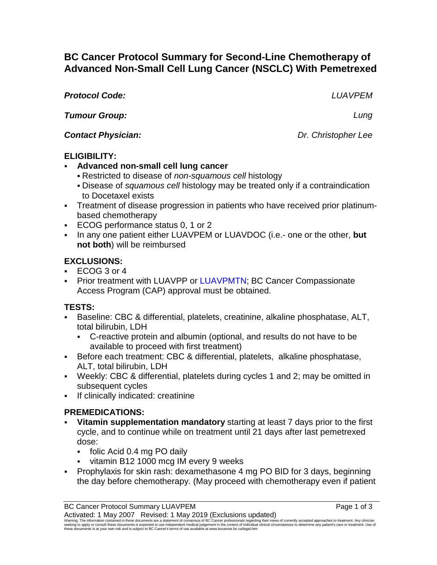# **BC Cancer Protocol Summary for Second-Line Chemotherapy of Advanced Non-Small Cell Lung Cancer (NSCLC) With Pemetrexed**

*Protocol Code: LUAVPEM*

*Tumour Group: Lung*

*Contact Physician: Dr. Christopher Lee*

## **ELIGIBILITY:**

- **Advanced non-small cell lung cancer**
	- Restricted to disease of *non-squamous cell* histology
	- Disease of *squamous cell* histology may be treated only if a contraindication to Docetaxel exists
- Treatment of disease progression in patients who have received prior platinumbased chemotherapy
- ECOG performance status 0, 1 or 2
- In any one patient either LUAVPEM or LUAVDOC (i.e.- one or the other, but **not both**) will be reimbursed

## **EXCLUSIONS:**

- ECOG 3 or 4
- **Prior treatment with LUAVPP or LUAVPMTN; BC Cancer Compassionate** Access Program (CAP) approval must be obtained.

## **TESTS:**

- Baseline: CBC & differential, platelets, creatinine, alkaline phosphatase, ALT, total bilirubin, LDH
	- C-reactive protein and albumin (optional, and results do not have to be available to proceed with first treatment)
- Before each treatment: CBC & differential, platelets, alkaline phosphatase, ALT, total bilirubin, LDH
- Weekly: CBC & differential, platelets during cycles 1 and 2; may be omitted in subsequent cycles
- **If clinically indicated: creatinine**

## **PREMEDICATIONS:**

- **Vitamin supplementation mandatory** starting at least 7 days prior to the first cycle, and to continue while on treatment until 21 days after last pemetrexed dose:
	- folic Acid 0.4 mg PO daily
	- vitamin B12 1000 mcg IM every 9 weeks
- Prophylaxis for skin rash: dexamethasone 4 mg PO BID for 3 days, beginning the day before chemotherapy. (May proceed with chemotherapy even if patient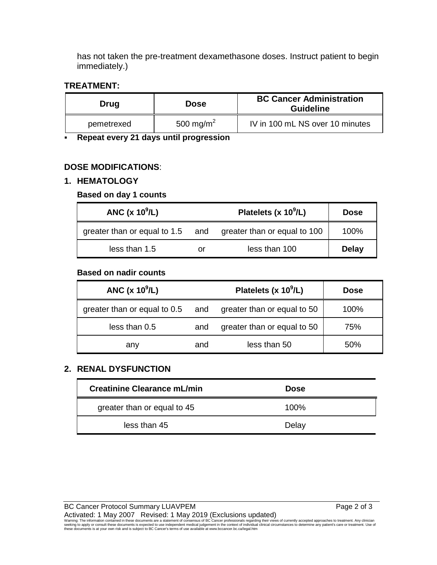has not taken the pre-treatment dexamethasone doses. Instruct patient to begin immediately.)

### **TREATMENT:**

| Drug       | <b>Dose</b>           | <b>BC Cancer Administration</b><br><b>Guideline</b> |
|------------|-----------------------|-----------------------------------------------------|
| pemetrexed | 500 mg/m <sup>2</sup> | IV in 100 mL NS over 10 minutes                     |

**Repeat every 21 days until progression**

## **DOSE MODIFICATIONS**:

## **1. HEMATOLOGY**

### **Based on day 1 counts**

| ANC $(x 10^9/L)$ |    | Platelets (x $10^9$ /L)                                       | <b>Dose</b>  |
|------------------|----|---------------------------------------------------------------|--------------|
|                  |    | greater than or equal to 1.5 and greater than or equal to 100 | $100\%$      |
| less than 1.5    | or | less than 100                                                 | <b>Delay</b> |

### **Based on nadir counts**

| ANC $(x 10^9/L)$             |     | Platelets (x $10^9$ /L)         | <b>Dose</b> |
|------------------------------|-----|---------------------------------|-------------|
| greater than or equal to 0.5 |     | and greater than or equal to 50 | 100%        |
| less than 0.5                | and | greater than or equal to 50     | 75%         |
| any                          | and | less than 50                    | 50%         |

### **2. RENAL DYSFUNCTION**

| <b>Creatinine Clearance mL/min</b> | <b>Dose</b> |
|------------------------------------|-------------|
| greater than or equal to 45        | 100%        |
| less than 45                       | Delay       |